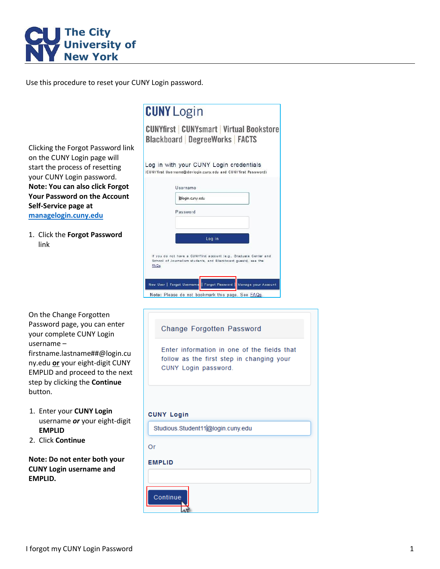

Use this procedure to reset your CUNY Login password.

Clicking the Forgot Password link on the CUNY Login page will start the process of resetting your CUNY Login password. **Note: You can also click Forgot Your Password on the Account Self-Service page at [managelogin.cuny.edu](https://managelogin.cuny.edu/)**

1. Click the **Forgot Password** link

| On the Change Forgotten         |
|---------------------------------|
| Password page, you can enter    |
| your complete CUNY Login        |
| username –                      |
| firstname.lastname##@login.cu   |
| ny.edu or your eight-digit CUNY |
| EMPLID and proceed to the next  |
| step by clicking the Continue   |
| button.                         |

- 1. Enter your **CUNY Login** username *or* your eight-digit **EMPLID**
- 2. Click **Continue**

**Note: Do not enter both your CUNY Login username and EMPLID.**

| <b>CUNY Login</b>                                                                                                                                                                                                                                                         |
|---------------------------------------------------------------------------------------------------------------------------------------------------------------------------------------------------------------------------------------------------------------------------|
| <b>CUNYfirst CUNYsmart Virtual Bookstore</b><br><b>Blackboard DegreeWorks FACTS</b>                                                                                                                                                                                       |
| Log in with your CUNY Login credentials<br>(CUNY first Username@devlogin.cuny.edu and CUNY first Password)                                                                                                                                                                |
| Username                                                                                                                                                                                                                                                                  |
| @login.cuny.edu                                                                                                                                                                                                                                                           |
| Password                                                                                                                                                                                                                                                                  |
| Log in                                                                                                                                                                                                                                                                    |
| If you do not have a CUNYfirst account (e.g., Graduate Center and<br>School of Journalism students, and Blackboard guests), see the<br>FAQs.<br>New User   Forgot Username   Forgot Password  <br>Manage your Account<br>Note: Please do not bookmark this page. See FAQs |
| <b>Change Forgotten Password</b>                                                                                                                                                                                                                                          |
| Enter information in one of the fields that<br>follow as the first step in changing your<br>CUNY Login password.                                                                                                                                                          |
| <b>CUNY Login</b>                                                                                                                                                                                                                                                         |
| Studious.Student11@login.cuny.edu                                                                                                                                                                                                                                         |
| Or                                                                                                                                                                                                                                                                        |

**EMPLID** 

Continue

I forgot my CUNY Login Password 1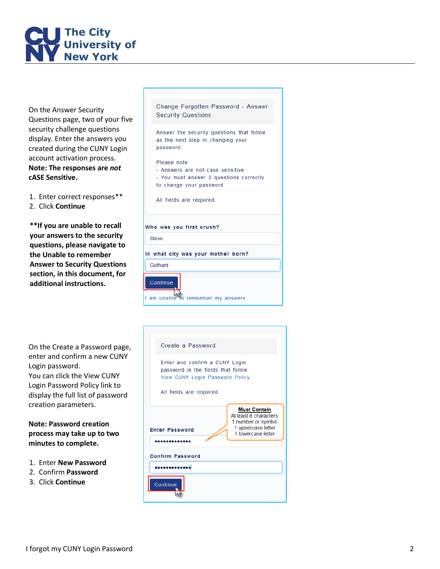

On the Answer Security Questions page, two of your five security challenge questions display. Enter the answers you created during the CUNY Login account activation process. **Note: The responses are** *not* **cASE Sensitive .**

- 1. Enter correct responses\*\*
- 2. Click **Continue**

**\*\*If you are unable to recall your answers to the security questions, please navigate to the Unable to remember Answer to Security Questions section, in this document, for additional instructions .**

On the Create a Password page, enter and confirm a new CUNY Login password . You can click the View CUNY Login Password Policy link to display the full list of password creation parameters.

**Note : Password creation process may take up to two minutes to complete.**

- 1. Enter **New Password**
- 2. Confirm **Password**
- 3. Click **Continue**

| Change Forgotten Fassword - Answer<br><b>Security Questions</b>                |
|--------------------------------------------------------------------------------|
| Answer the security questions that follow<br>as the next step in changing your |

Change Enrantton Descurant Answer

Please note: - Answers are not case sensitive - You must answer 2 questions correctly to change your password All fields are required.

Who was you first crush?

password.

In what city was your mother born?

Gotham



 $\sum_{n=1}^{\infty}$  am unable to remember my answers.

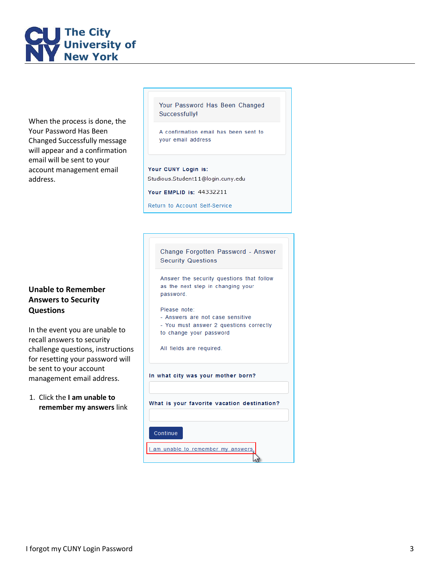

When the process is done, the Your Password Has Been Changed Successfully message will appear and a confirmation email will be sent to your account management email address.

## **Unable to Remember Answer s to Security Questions**

In the event you are unable to recall answers to security challenge questions, instructions for resetting your password will be sent to your account management email address.

1. Click the **I am unable to remember my answers** link Your Password Has Been Changed **Successfully!** 

A confirmation email has been sent to your email address

Your CUNY Login is: Studious.Student11@login.cuny.edu

Your EMPLID is: 44332211

Return to Account Self-Service

| Change Forgotten Password - Answer<br><b>Security Questions</b>                                                                                    |
|----------------------------------------------------------------------------------------------------------------------------------------------------|
| Answer the security questions that follow<br>as the next step in changing your<br>password.                                                        |
| Please note:<br>- Answers are not case sensitive<br>- You must answer 2 questions correctly<br>to change your password<br>All fields are required. |
| In what city was your mother born?                                                                                                                 |
| What is your favorite vacation destination?                                                                                                        |
| Continue                                                                                                                                           |
| I am unable to remember my answers                                                                                                                 |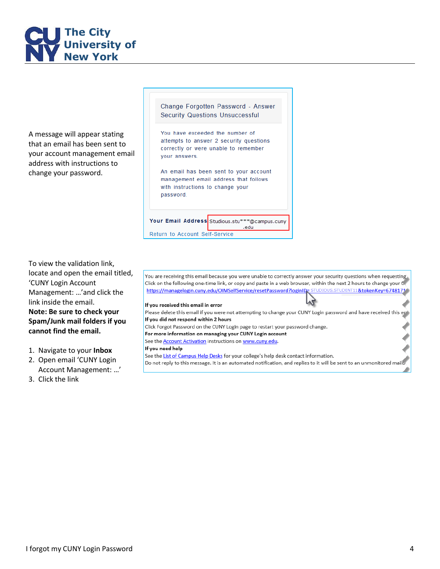

A message will appear stating that an email has been sent to your account management email address with instructions to change your password.

Change Forgotten Password - Answer **Security Questions Unsuccessful** 

You have exceeded the number of attempts to answer 2 security questions correctly or were unable to remember vour answers.

An email has been sent to your account management email address that follows with instructions to change your password.

Your Email Address Studious.stu\*\*\*@campus.cuny edu

Return to Account Self-Service

To view the validation link, locate and open the email titled, 'CUNY Login Account Management: …'and click the link inside the email. **Note: Be sure to check your Spam/Junk mail folders if you cannot find the email.**

- 1. Navigate to your **Inbox**
- 2. Open email 'CUNY Login Account Management: …'
- 3. Click the link

You are receiving this email because you were unable to correctly answer your security questions when requesting Click on the following one-time link, or copy and paste in a web browser, within the next 2 hours to change your C. https://managelogin.cuny.edu/OIMSelfService/resetPassword?loginID=STUDIOUS.STUDENT11&tokenKey=6748171 If you received this email in error Please delete this email if you were not attempting to change your CUNY Login password and have received this ept If you did not respond within 2 hours Click Forgot Password on the CUNY Login page to restart your password change.

For more information on managing your CUNY Login account

See the **Account Activation** instructions on www.cuny.edu.

## If you need help

See the List of Campus Help Desks for your college's help desk contact information. Do not reply to this message. It is an automated notification, and replies to it will be sent to an unmonitored mail